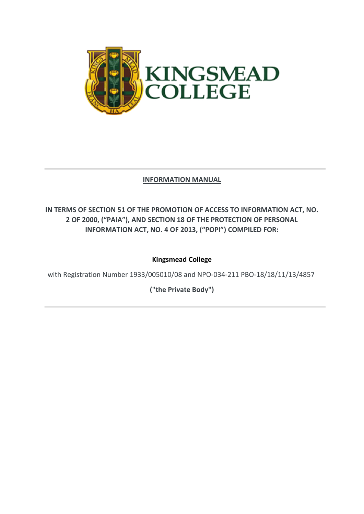

## **INFORMATION MANUAL**

# **IN TERMS OF SECTION 51 OF THE PROMOTION OF ACCESS TO INFORMATION ACT, NO. 2 OF 2000, ("PAIA"), AND SECTION 18 OF THE PROTECTION OF PERSONAL INFORMATION ACT, NO. 4 OF 2013, ("POPI") COMPILED FOR:**

## **Kingsmead College**

with Registration Number 1933/005010/08 and NPO-034-211 PBO-18/18/11/13/4857

**("the Private Body")**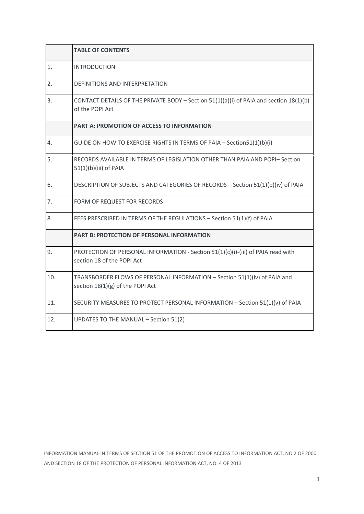|     | <b>TABLE OF CONTENTS</b>                                                                                        |  |  |
|-----|-----------------------------------------------------------------------------------------------------------------|--|--|
| 1.  | <b>INTRODUCTION</b>                                                                                             |  |  |
| 2.  | DEFINITIONS AND INTERPRETATION                                                                                  |  |  |
| 3.  | CONTACT DETAILS OF THE PRIVATE BODY - Section $51(1)(a)(i)$ of PAIA and section $18(1)(b)$<br>of the POPI Act   |  |  |
|     | <b>PART A: PROMOTION OF ACCESS TO INFORMATION</b>                                                               |  |  |
| 4.  | GUIDE ON HOW TO EXERCISE RIGHTS IN TERMS OF PAIA - Section 51(1)(b)(i)                                          |  |  |
| 5.  | RECORDS AVAILABLE IN TERMS OF LEGISLATION OTHER THAN PAIA AND POPI- Section<br>$51(1)(b)(iii)$ of PAIA          |  |  |
| 6.  | DESCRIPTION OF SUBJECTS AND CATEGORIES OF RECORDS - Section 51(1)(b)(iv) of PAIA                                |  |  |
| 7.  | FORM OF REQUEST FOR RECORDS                                                                                     |  |  |
| 8.  | FEES PRESCRIBED IN TERMS OF THE REGULATIONS - Section 51(1)(f) of PAIA                                          |  |  |
|     | <b>PART B: PROTECTION OF PERSONAL INFORMATION</b>                                                               |  |  |
| 9.  | PROTECTION OF PERSONAL INFORMATION - Section 51(1)(c)(i)-(iii) of PAIA read with<br>section 18 of the POPI Act  |  |  |
| 10. | TRANSBORDER FLOWS OF PERSONAL INFORMATION - Section 51(1)(iv) of PAIA and<br>section $18(1)(g)$ of the POPI Act |  |  |
| 11. | SECURITY MEASURES TO PROTECT PERSONAL INFORMATION - Section 51(1)(v) of PAIA                                    |  |  |
| 12. | UPDATES TO THE MANUAL - Section 51(2)                                                                           |  |  |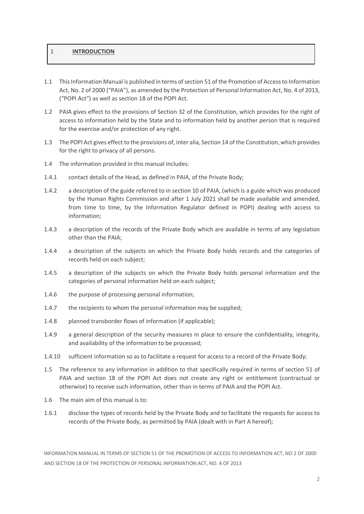#### 1 **INTRODUCTION**

- 1.1 This Information Manual is published in terms of section 51 of the Promotion of Access to Information Act, No. 2 of 2000 ("PAIA"), as amended by the Protection of Personal Information Act, No. 4 of 2013, ("POPI Act") as well as section 18 of the POPI Act.
- 1.2 PAIA gives effect to the provisions of Section 32 of the Constitution, which provides for the right of access to information held by the State and to information held by another person that is required for the exercise and/or protection of any right.
- 1.3 The POPI Act gives effect to the provisions of, inter alia, Section 14 of the Constitution, which provides for the right to privacy of all persons.
- 1.4 The information provided in this manual includes:
- 1.4.1 contact details of the Head, as defined in PAIA, of the Private Body;
- 1.4.2 a description of the guide referred to in section 10 of PAIA, (which is a guide which was produced by the Human Rights Commission and after 1 July 2021 shall be made available and amended, from time to time, by the Information Regulator defined in POPI) dealing with access to information;
- 1.4.3 a description of the records of the Private Body which are available in terms of any legislation other than the PAIA;
- 1.4.4 a description of the subjects on which the Private Body holds records and the categories of records held on each subject;
- 1.4.5 a description of the subjects on which the Private Body holds personal information and the categories of personal information held on each subject;
- 1.4.6 the purpose of processing personal information;
- 1.4.7 the recipients to whom the personal information may be supplied;
- 1.4.8 planned transborder flows of information (if applicable);
- 1.4.9 a general description of the security measures in place to ensure the confidentiality, integrity, and availability of the information to be processed;
- 1.4.10 sufficient information so as to facilitate a request for access to a record of the Private Body;
- 1.5 The reference to any information in addition to that specifically required in terms of section 51 of PAIA and section 18 of the POPI Act does not create any right or entitlement (contractual or otherwise) to receive such information, other than in terms of PAIA and the POPI Act.
- 1.6 The main aim of this manual is to:
- 1.6.1 disclose the types of records held by the Private Body and to facilitate the requests for access to records of the Private Body, as permitted by PAIA (dealt with in Part A hereof);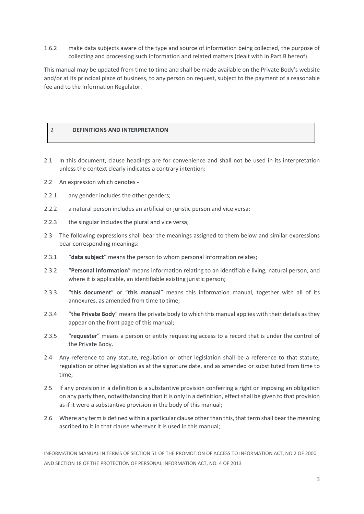1.6.2 make data subjects aware of the type and source of information being collected, the purpose of collecting and processing such information and related matters (dealt with in Part B hereof).

This manual may be updated from time to time and shall be made available on the Private Body's website and/or at its principal place of business, to any person on request, subject to the payment of a reasonable fee and to the Information Regulator.

#### 2 **DEFINITIONS AND INTERPRETATION**

- 2.1 In this document, clause headings are for convenience and shall not be used in its interpretation unless the context clearly indicates a contrary intention:
- 2.2 An expression which denotes -
- 2.2.1 any gender includes the other genders;
- 2.2.2 a natural person includes an artificial or juristic person and vice versa;
- 2.2.3 the singular includes the plural and vice versa;
- 2.3 The following expressions shall bear the meanings assigned to them below and similar expressions bear corresponding meanings:
- 2.3.1 "**data subject**" means the person to whom personal information relates;
- 2.3.2 "**Personal Information**" means information relating to an identifiable living, natural person, and where it is applicable, an identifiable existing juristic person;
- 2.3.3 "**this document**" or "**this manual**" means this information manual, together with all of its annexures, as amended from time to time;
- 2.3.4 "**the Private Body**" means the private body to which this manual applies with their details as they appear on the front page of this manual;
- 2.3.5 "**requester**" means a person or entity requesting access to a record that is under the control of the Private Body.
- 2.4 Any reference to any statute, regulation or other legislation shall be a reference to that statute, regulation or other legislation as at the signature date, and as amended or substituted from time to time;
- 2.5 If any provision in a definition is a substantive provision conferring a right or imposing an obligation on any party then, notwithstanding that it is only in a definition, effect shall be given to that provision as if it were a substantive provision in the body of this manual;
- 2.6 Where any term is defined within a particular clause other than this, that term shall bear the meaning ascribed to it in that clause wherever it is used in this manual;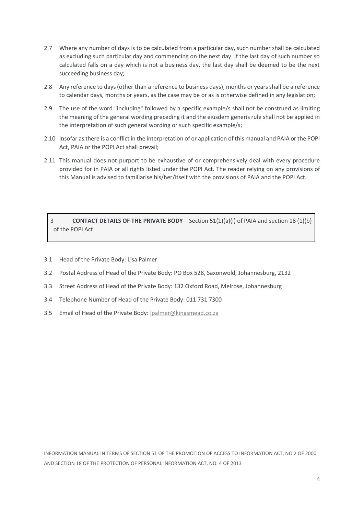- 2.7 Where any number of days is to be calculated from a particular day, such number shall be calculated as excluding such particular day and commencing on the next day. If the last day of such number so calculated falls on a day which is not a business day, the last day shall be deemed to be the next succeeding business day;
- 2.8 Any reference to days (other than a reference to business days), months or years shall be a reference to calendar days, months or years, as the case may be or as is otherwise defined in any legislation;
- 2.9 The use of the word "including" followed by a specific example/s shall not be construed as limiting the meaning of the general wording preceding it and the eiusdem generis rule shall not be applied in the interpretation of such general wording or such specific example/s;
- 2.10 Insofar as there is a conflict in the interpretation of or application of this manual and PAIA or the POPI Act, PAIA or the POPI Act shall prevail;
- 2.11 This manual does not purport to be exhaustive of or comprehensively deal with every procedure provided for in PAIA or all rights listed under the POPI Act. The reader relying on any provisions of this Manual is advised to familiarise his/her/itself with the provisions of PAIA and the POPI Act.

### 3 **CONTACT DETAILS OF THE PRIVATE BODY** – Section 51(1)(a)(i) of PAIA and section 18 (1)(b) of the POPI Act

- 3.1 Head of the Private Body: Lisa Palmer
- 3.2 Postal Address of Head of the Private Body: PO Box 528, Saxonwold, Johannesburg, 2132
- 3.3 Street Address of Head of the Private Body: 132 Oxford Road, Melrose, Johannesburg
- 3.4 Telephone Number of Head of the Private Body: 011 731 7300
- 3.5 Email of Head of the Private Body[: lpalmer@kingsmead.co.za](mailto:lpalmer@kingsmead.co.za)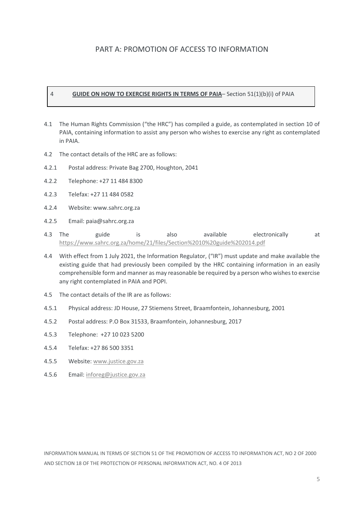## PART A: PROMOTION OF ACCESS TO INFORMATION

#### 4 **GUIDE ON HOW TO EXERCISE RIGHTS IN TERMS OF PAIA**– Section 51(1)(b)(i) of PAIA

- 4.1 The Human Rights Commission ("the HRC") has compiled a guide, as contemplated in section 10 of PAIA, containing information to assist any person who wishes to exercise any right as contemplated in PAIA.
- 4.2 The contact details of the HRC are as follows:
- 4.2.1 Postal address: Private Bag 2700, Houghton, 2041
- 4.2.2 Telephone: +27 11 484 8300
- 4.2.3 Telefax: +27 11 484 0582
- 4.2.4 Website: www.sahrc.org.za
- 4.2.5 Email: paia@sahrc.org.za
- 4.3 The guide is also available electronically at <https://www.sahrc.org.za/home/21/files/Section%2010%20guide%202014.pdf>
- 4.4 With effect from 1 July 2021, the Information Regulator, ("IR") must update and make available the existing guide that had previously been compiled by the HRC containing information in an easily comprehensible form and manner as may reasonable be required by a person who wishes to exercise any right contemplated in PAIA and POPI.
- 4.5 The contact details of the IR are as follows:
- 4.5.1 Physical address: JD House, 27 Stiemens Street, Braamfontein, Johannesburg, 2001
- 4.5.2 Postal address: P.O Box 31533, Braamfontein, Johannesburg, 2017
- 4.5.3 Telephone: +27 10 023 5200
- 4.5.4 Telefax: +27 86 500 3351
- 4.5.5 Website[: www.justice.gov.za](http://www.justice.gov.za/)
- 4.5.6 Email[: inforeg@justice.gov.za](mailto:inforeg@justice.gov.za)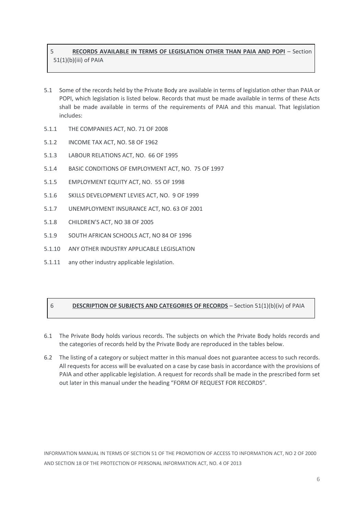## 5 **RECORDS AVAILABLE IN TERMS OF LEGISLATION OTHER THAN PAIA AND POPI** – Section 51(1)(b)(iii) of PAIA

- 5.1 Some of the records held by the Private Body are available in terms of legislation other than PAIA or POPI, which legislation is listed below. Records that must be made available in terms of these Acts shall be made available in terms of the requirements of PAIA and this manual. That legislation includes:
- 5.1.1 THE COMPANIES ACT, NO. 71 OF 2008
- 5.1.2 INCOME TAX ACT, NO. 58 OF 1962
- 5.1.3 LABOUR RELATIONS ACT, NO. 66 OF 1995
- 5.1.4 BASIC CONDITIONS OF EMPLOYMENT ACT, NO. 75 OF 1997
- 5.1.5 EMPLOYMENT EQUITY ACT, NO. 55 OF 1998
- 5.1.6 SKILLS DEVELOPMENT LEVIES ACT, NO. 9 OF 1999
- 5.1.7 UNEMPLOYMENT INSURANCE ACT, NO. 63 OF 2001
- 5.1.8 CHILDREN'S ACT, NO 38 OF 2005
- 5.1.9 SOUTH AFRICAN SCHOOLS ACT, NO 84 OF 1996
- 5.1.10 ANY OTHER INDUSTRY APPLICABLE LEGISLATION
- 5.1.11 any other industry applicable legislation.

### 6 **DESCRIPTION OF SUBJECTS AND CATEGORIES OF RECORDS** – Section 51(1)(b)(iv) of PAIA

- 6.1 The Private Body holds various records. The subjects on which the Private Body holds records and the categories of records held by the Private Body are reproduced in the tables below.
- 6.2 The listing of a category or subject matter in this manual does not guarantee access to such records. All requests for access will be evaluated on a case by case basis in accordance with the provisions of PAIA and other applicable legislation. A request for records shall be made in the prescribed form set out later in this manual under the heading "FORM OF REQUEST FOR RECORDS".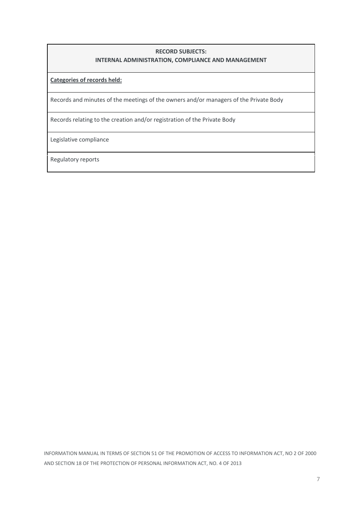### **RECORD SUBJECTS: INTERNAL ADMINISTRATION, COMPLIANCE AND MANAGEMENT**

**Categories of records held:**

Records and minutes of the meetings of the owners and/or managers of the Private Body

Records relating to the creation and/or registration of the Private Body

Legislative compliance

Regulatory reports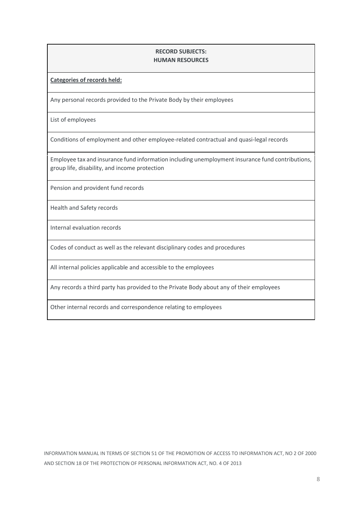#### **RECORD SUBJECTS: HUMAN RESOURCES**

**Categories of records held:**

Any personal records provided to the Private Body by their employees

List of employees

Conditions of employment and other employee-related contractual and quasi-legal records

Employee tax and insurance fund information including unemployment insurance fund contributions, group life, disability, and income protection

Pension and provident fund records

Health and Safety records

Internal evaluation records

Codes of conduct as well as the relevant disciplinary codes and procedures

All internal policies applicable and accessible to the employees

Any records a third party has provided to the Private Body about any of their employees

Other internal records and correspondence relating to employees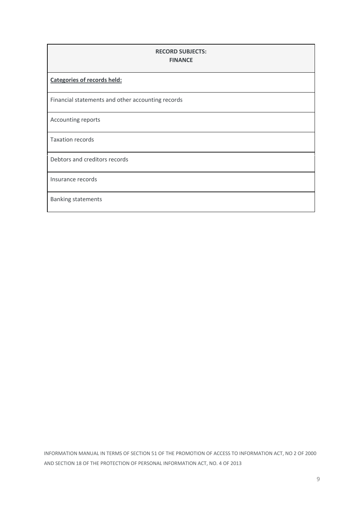| <b>RECORD SUBJECTS:</b><br><b>FINANCE</b>         |  |  |
|---------------------------------------------------|--|--|
| <b>Categories of records held:</b>                |  |  |
| Financial statements and other accounting records |  |  |
| Accounting reports                                |  |  |
| <b>Taxation records</b>                           |  |  |
| Debtors and creditors records                     |  |  |
| Insurance records                                 |  |  |
| <b>Banking statements</b>                         |  |  |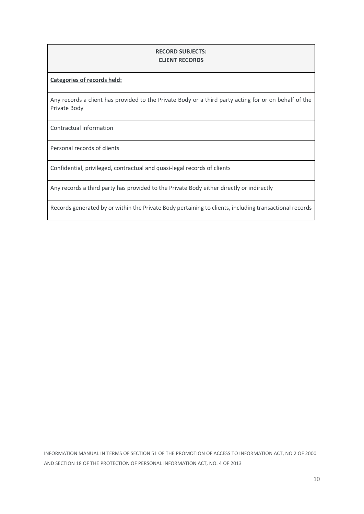### **RECORD SUBJECTS: CLIENT RECORDS**

#### **Categories of records held:**

Any records a client has provided to the Private Body or a third party acting for or on behalf of the Private Body

Contractual information

Personal records of clients

Confidential, privileged, contractual and quasi-legal records of clients

Any records a third party has provided to the Private Body either directly or indirectly

Records generated by or within the Private Body pertaining to clients, including transactional records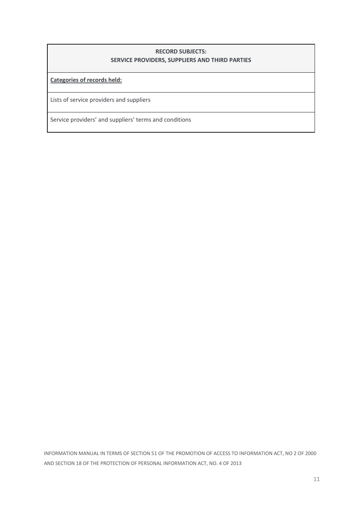### **RECORD SUBJECTS: SERVICE PROVIDERS, SUPPLIERS AND THIRD PARTIES**

**Categories of records held:**

Lists of service providers and suppliers

Service providers' and suppliers' terms and conditions

INFORMATION MANUAL IN TERMS OF SECTION 51 OF THE PROMOTION OF ACCESS TO INFORMATION ACT, NO 2 OF 2000<br>AND SECTION 18 OF THE PROTECTION OF PERSONAL INFORMATION ACT, NO. 4 OF 2013<br>11 AND SECTION 18 OF THE PROTECTION OF PERSONAL INFORMATION ACT, NO. 4 OF 2013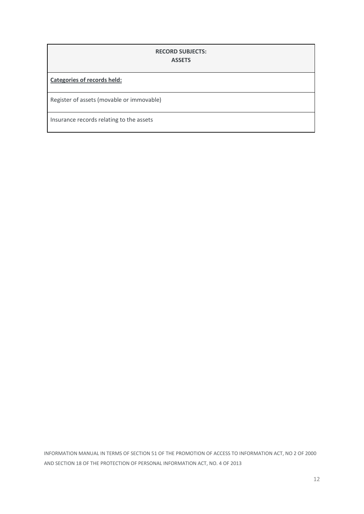### **RECORD SUBJECTS: ASSETS**

**Categories of records held:**

Register of assets (movable or immovable)

Insurance records relating to the assets

INFORMATION MANUAL IN TERMS OF SECTION 51 OF THE PROMOTION OF ACCESS TO INFORMATION ACT, NO 2 OF 2000<br>AND SECTION 18 OF THE PROTECTION OF PERSONAL INFORMATION ACT, NO. 4 OF 2013<br>12 AND SECTION 18 OF THE PROTECTION OF PERSONAL INFORMATION ACT, NO. 4 OF 2013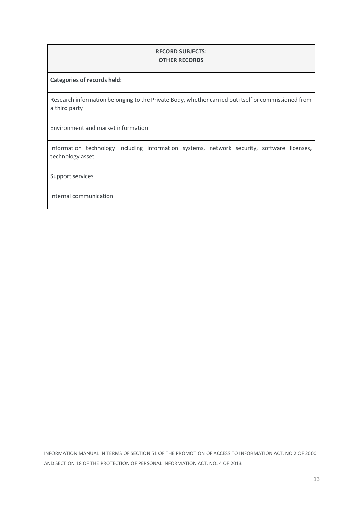### **RECORD SUBJECTS: OTHER RECORDS**

#### **Categories of records held:**

Research information belonging to the Private Body, whether carried out itself or commissioned from a third party

Environment and market information

Information technology including information systems, network security, software licenses, technology asset

Support services

Internal communication

INFORMATION MANUAL IN TERMS OF SECTION 51 OF THE PROMOTION OF ACCESS TO INFORMATION ACT, NO 2 OF 2000<br>AND SECTION 18 OF THE PROTECTION OF PERSONAL INFORMATION ACT, NO. 4 OF 2013<br>13 AND SECTION 18 OF THE PROTECTION OF PERSONAL INFORMATION ACT, NO. 4 OF 2013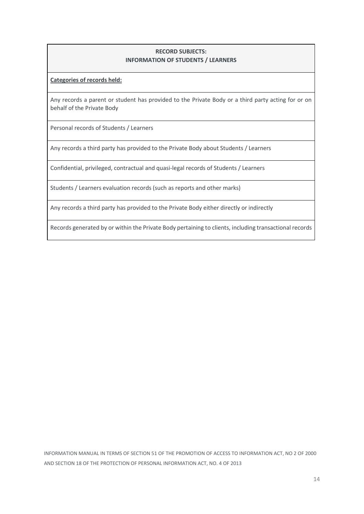### **RECORD SUBJECTS: INFORMATION OF STUDENTS / LEARNERS**

#### **Categories of records held:**

Any records a parent or student has provided to the Private Body or a third party acting for or on behalf of the Private Body

Personal records of Students / Learners

Any records a third party has provided to the Private Body about Students / Learners

Confidential, privileged, contractual and quasi-legal records of Students / Learners

Students / Learners evaluation records (such as reports and other marks)

Any records a third party has provided to the Private Body either directly or indirectly

Records generated by or within the Private Body pertaining to clients, including transactional records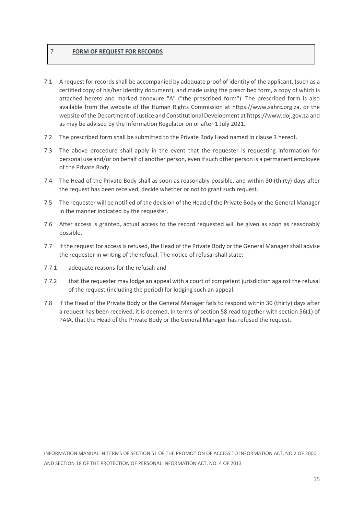### 7 **FORM OF REQUEST FOR RECORDS**

- 7.1 A request for records shall be accompanied by adequate proof of identity of the applicant, (such as a certified copy of his/her identity document), and made using the prescribed form, a copy of which is attached hereto and marked annexure "A" ("the prescribed form"). The prescribed form is also available from the website of the Human Rights Commission at https://www.sahrc.org.za, or the website of the Department of Justice and Constitutional Development at https://www.doj.gov.za and as may be advised by the Information Regulator on or after 1 July 2021.
- 7.2 The prescribed form shall be submitted to the Private Body Head named in clause 3 hereof.
- 7.3 The above procedure shall apply in the event that the requester is requesting information for personal use and/or on behalf of another person, even if such other person is a permanent employee of the Private Body.
- 7.4 The Head of the Private Body shall as soon as reasonably possible, and within 30 (thirty) days after the request has been received, decide whether or not to grant such request.
- 7.5 The requester will be notified of the decision of the Head of the Private Body or the General Manager in the manner indicated by the requester.
- 7.6 After access is granted, actual access to the record requested will be given as soon as reasonably possible.
- 7.7 If the request for access is refused, the Head of the Private Body or the General Manager shall advise the requester in writing of the refusal. The notice of refusal shall state:
- 7.7.1 adequate reasons for the refusal; and
- 7.7.2 that the requester may lodge an appeal with a court of competent jurisdiction against the refusal of the request (including the period) for lodging such an appeal.
- 7.8 If the Head of the Private Body or the General Manager fails to respond within 30 (thirty) days after a request has been received, it is deemed, in terms of section 58 read together with section 56(1) of PAIA, that the Head of the Private Body or the General Manager has refused the request.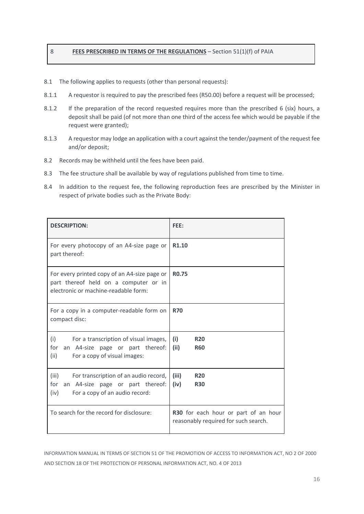### 8 **FEES PRESCRIBED IN TERMS OF THE REGULATIONS** – Section 51(1)(f) of PAIA

- 8.1 The following applies to requests (other than personal requests):
- 8.1.1 A requestor is required to pay the prescribed fees (R50.00) before a request will be processed;
- 8.1.2 If the preparation of the record requested requires more than the prescribed 6 (six) hours, a deposit shall be paid (of not more than one third of the access fee which would be payable if the request were granted);
- 8.1.3 A requestor may lodge an application with a court against the tender/payment of the request fee and/or deposit;
- 8.2 Records may be withheld until the fees have been paid.
- 8.3 The fee structure shall be available by way of regulations published from time to time.
- 8.4 In addition to the request fee, the following reproduction fees are prescribed by the Minister in respect of private bodies such as the Private Body:

| <b>DESCRIPTION:</b>                                                                                                                 | FEE:                                                                         |  |
|-------------------------------------------------------------------------------------------------------------------------------------|------------------------------------------------------------------------------|--|
| For every photocopy of an A4-size page or<br>part thereof:                                                                          | R <sub>1.10</sub>                                                            |  |
| For every printed copy of an A4-size page or<br>part thereof held on a computer or in<br>electronic or machine-readable form:       | <b>RO.75</b>                                                                 |  |
| For a copy in a computer-readable form on<br>compact disc:                                                                          | <b>R70</b>                                                                   |  |
| (i)<br>For a transcription of visual images,<br>for<br>an A4-size page or part thereof:<br>(ii)<br>For a copy of visual images:     | (i)<br><b>R20</b><br>(ii)<br><b>R60</b>                                      |  |
| (iii)<br>For transcription of an audio record,<br>an A4-size page or part thereof:<br>for<br>For a copy of an audio record:<br>(iv) | (iii)<br><b>R20</b><br>(iv)<br><b>R30</b>                                    |  |
| To search for the record for disclosure:                                                                                            | R30 for each hour or part of an hour<br>reasonably required for such search. |  |

INFORMATION MANUAL IN TERMS OF SECTION 51 OF THE PROMOTION OF ACCESS TO INFORMATION ACT, NO 2 OF 2000<br>AND SECTION 18 OF THE PROTECTION OF PERSONAL INFORMATION ACT, NO. 4 OF 2013<br>16 AND SECTION 18 OF THE PROTECTION OF PERSONAL INFORMATION ACT, NO. 4 OF 2013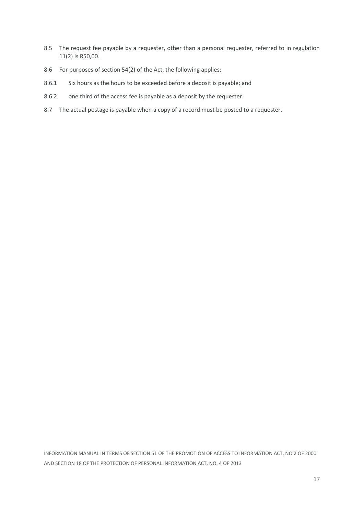- 8.5 The request fee payable by a requester, other than a personal requester, referred to in regulation 11(2) is R50,00.
- 8.6 For purposes of section 54(2) of the Act, the following applies:
- 8.6.1 Six hours as the hours to be exceeded before a deposit is payable; and
- 8.6.2 one third of the access fee is payable as a deposit by the requester.
- 8.7 The actual postage is payable when a copy of a record must be posted to a requester.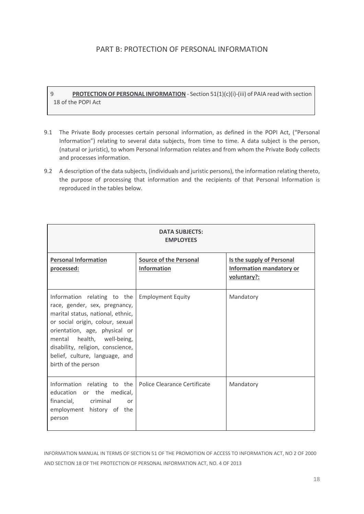## PART B: PROTECTION OF PERSONAL INFORMATION

9 **PROTECTION OF PERSONAL INFORMATION** - Section 51(1)(c)(i)-(iii) of PAIA read with section 18 of the POPI Act

- 9.1 The Private Body processes certain personal information, as defined in the POPI Act, ("Personal Information") relating to several data subjects, from time to time. A data subject is the person, (natural or juristic), to whom Personal Information relates and from whom the Private Body collects and processes information.
- 9.2 A description of the data subjects, (individuals and juristic persons), the information relating thereto, the purpose of processing that information and the recipients of that Personal Information is reproduced in the tables below.

| <b>DATA SUBJECTS:</b><br><b>EMPLOYEES</b>                                                                                                                                                                                                                                                          |                                              |                                                                             |  |  |
|----------------------------------------------------------------------------------------------------------------------------------------------------------------------------------------------------------------------------------------------------------------------------------------------------|----------------------------------------------|-----------------------------------------------------------------------------|--|--|
| <b>Personal Information</b><br>processed:                                                                                                                                                                                                                                                          | <b>Source of the Personal</b><br>Information | Is the supply of Personal<br><b>Information mandatory or</b><br>voluntary?: |  |  |
| Information relating to the<br>race, gender, sex, pregnancy,<br>marital status, national, ethnic,<br>or social origin, colour, sexual<br>orientation, age, physical or<br>mental health, well-being,<br>disability, religion, conscience,<br>belief, culture, language, and<br>birth of the person | <b>Employment Equity</b>                     | Mandatory                                                                   |  |  |
| Information relating to the<br>education or the medical,<br>financial,<br>criminal<br>or<br>employment history of the<br>person                                                                                                                                                                    | Police Clearance Certificate                 | Mandatory                                                                   |  |  |

INFORMATION MANUAL IN TERMS OF SECTION 51 OF THE PROMOTION OF ACCESS TO INFORMATION ACT, NO 2 OF 2000<br>AND SECTION 18 OF THE PROTECTION OF PERSONAL INFORMATION ACT, NO. 4 OF 2013<br>18 AND SECTION 18 OF THE PROTECTION OF PERSONAL INFORMATION ACT, NO. 4 OF 2013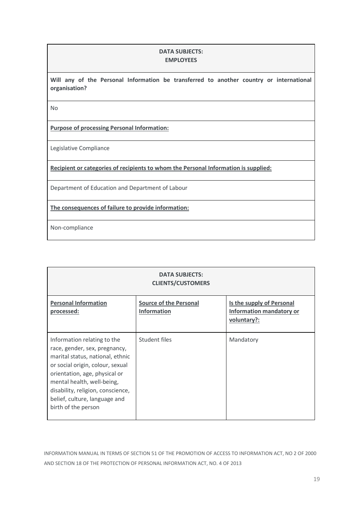### **DATA SUBJECTS: EMPLOYEES**

**Will any of the Personal Information be transferred to another country or international organisation?**

No

**Purpose of processing Personal Information:**

Legislative Compliance

**Recipient or categories of recipients to whom the Personal Information is supplied:**

Department of Education and Department of Labour

**The consequences of failure to provide information:**

Non-compliance

| <b>DATA SUBJECTS:</b><br><b>CLIENTS/CUSTOMERS</b>                                                                                                                                                                                                                                                |                                              |                                                                             |  |  |  |
|--------------------------------------------------------------------------------------------------------------------------------------------------------------------------------------------------------------------------------------------------------------------------------------------------|----------------------------------------------|-----------------------------------------------------------------------------|--|--|--|
| <b>Personal Information</b><br>processed:                                                                                                                                                                                                                                                        | <b>Source of the Personal</b><br>Information | Is the supply of Personal<br><b>Information mandatory or</b><br>voluntary?: |  |  |  |
| Information relating to the<br>race, gender, sex, pregnancy,<br>marital status, national, ethnic<br>or social origin, colour, sexual<br>orientation, age, physical or<br>mental health, well-being,<br>disability, religion, conscience,<br>belief, culture, language and<br>birth of the person | Student files                                | Mandatory                                                                   |  |  |  |

INFORMATION MANUAL IN TERMS OF SECTION 51 OF THE PROMOTION OF ACCESS TO INFORMATION ACT, NO 2 OF 2000<br>AND SECTION 18 OF THE PROTECTION OF PERSONAL INFORMATION ACT, NO. 4 OF 2013<br>19 AND SECTION 18 OF THE PROTECTION OF PERSONAL INFORMATION ACT, NO. 4 OF 2013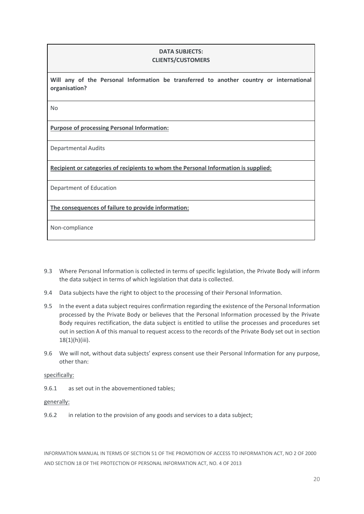#### **DATA SUBJECTS: CLIENTS/CUSTOMERS**

**Will any of the Personal Information be transferred to another country or international organisation?**

No

**Purpose of processing Personal Information:**

Departmental Audits

**Recipient or categories of recipients to whom the Personal Information is supplied:**

Department of Education

**The consequences of failure to provide information:**

Non-compliance

- 9.3 Where Personal Information is collected in terms of specific legislation, the Private Body will inform the data subject in terms of which legislation that data is collected.
- 9.4 Data subjects have the right to object to the processing of their Personal Information.
- 9.5 In the event a data subject requires confirmation regarding the existence of the Personal Information processed by the Private Body or believes that the Personal Information processed by the Private Body requires rectification, the data subject is entitled to utilise the processes and procedures set out in section A of this manual to request access to the records of the Private Body set out in section  $18(1)(h)(iii)$ .
- 9.6 We will not, without data subjects' express consent use their Personal Information for any purpose, other than:

#### specifically:

9.6.1 as set out in the abovementioned tables;

#### generally:

9.6.2 in relation to the provision of any goods and services to a data subject;

INFORMATION MANUAL IN TERMS OF SECTION 51 OF THE PROMOTION OF ACCESS TO INFORMATION ACT, NO 2 OF 2000<br>AND SECTION 18 OF THE PROTECTION OF PERSONAL INFORMATION ACT, NO. 4 OF 2013<br>20 AND SECTION 18 OF THE PROTECTION OF PERSONAL INFORMATION ACT, NO. 4 OF 2013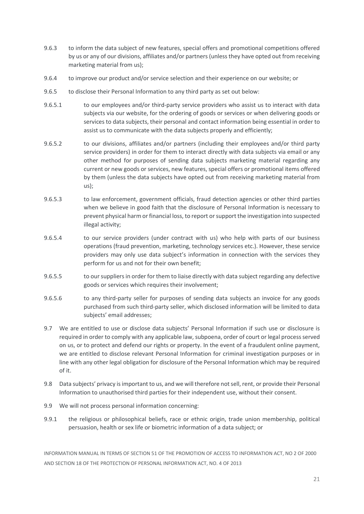- 9.6.3 to inform the data subject of new features, special offers and promotional competitions offered by us or any of our divisions, affiliates and/or partners (unless they have opted out from receiving marketing material from us);
- 9.6.4 to improve our product and/or service selection and their experience on our website; or
- 9.6.5 to disclose their Personal Information to any third party as set out below:
- 9.6.5.1 to our employees and/or third-party service providers who assist us to interact with data subjects via our website, for the ordering of goods or services or when delivering goods or services to data subjects, their personal and contact information being essential in order to assist us to communicate with the data subjects properly and efficiently;
- 9.6.5.2 to our divisions, affiliates and/or partners (including their employees and/or third party service providers) in order for them to interact directly with data subjects via email or any other method for purposes of sending data subjects marketing material regarding any current or new goods or services, new features, special offers or promotional items offered by them (unless the data subjects have opted out from receiving marketing material from us);
- 9.6.5.3 to law enforcement, government officials, fraud detection agencies or other third parties when we believe in good faith that the disclosure of Personal Information is necessary to prevent physical harm or financial loss, to report or support the investigation into suspected illegal activity;
- 9.6.5.4 to our service providers (under contract with us) who help with parts of our business operations (fraud prevention, marketing, technology services etc.). However, these service providers may only use data subject's information in connection with the services they perform for us and not for their own benefit;
- 9.6.5.5 to our suppliers in order for them to liaise directly with data subject regarding any defective goods or services which requires their involvement;
- 9.6.5.6 to any third-party seller for purposes of sending data subjects an invoice for any goods purchased from such third-party seller, which disclosed information will be limited to data subjects' email addresses;
- 9.7 We are entitled to use or disclose data subjects' Personal Information if such use or disclosure is required in order to comply with any applicable law, subpoena, order of court or legal process served on us, or to protect and defend our rights or property. In the event of a fraudulent online payment, we are entitled to disclose relevant Personal Information for criminal investigation purposes or in line with any other legal obligation for disclosure of the Personal Information which may be required of it.
- 9.8 Data subjects' privacy is important to us, and we will therefore not sell, rent, or provide their Personal Information to unauthorised third parties for their independent use, without their consent.
- 9.9 We will not process personal information concerning:
- 9.9.1 the religious or philosophical beliefs, race or ethnic origin, trade union membership, political persuasion, health or sex life or biometric information of a data subject; or

INFORMATION MANUAL IN TERMS OF SECTION 51 OF THE PROMOTION OF ACCESS TO INFORMATION ACT, NO 2 OF 2000<br>AND SECTION 18 OF THE PROTECTION OF PERSONAL INFORMATION ACT, NO. 4 OF 2013<br>21 AND SECTION 18 OF THE PROTECTION OF PERSONAL INFORMATION ACT, NO. 4 OF 2013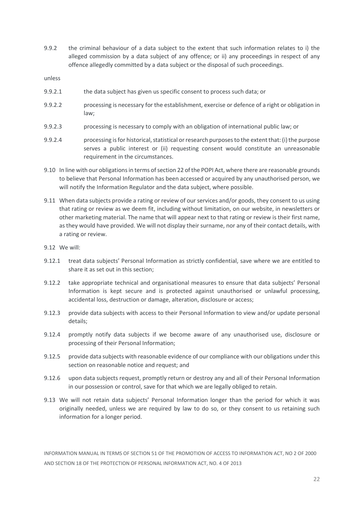9.9.2 the criminal behaviour of a data subject to the extent that such information relates to i) the alleged commission by a data subject of any offence; or ii) any proceedings in respect of any offence allegedly committed by a data subject or the disposal of such proceedings.

unless

- 9.9.2.1 the data subject has given us specific consent to process such data; or
- 9.9.2.2 processing is necessary for the establishment, exercise or defence of a right or obligation in law;
- 9.9.2.3 processing is necessary to comply with an obligation of international public law; or
- 9.9.2.4 processing is for historical, statistical or research purposes to the extent that: (i) the purpose serves a public interest or (ii) requesting consent would constitute an unreasonable requirement in the circumstances.
- 9.10 In line with our obligations in terms of section 22 of the POPI Act, where there are reasonable grounds to believe that Personal Information has been accessed or acquired by any unauthorised person, we will notify the Information Regulator and the data subject, where possible.
- 9.11 When data subjects provide a rating or review of our services and/or goods, they consent to us using that rating or review as we deem fit, including without limitation, on our website, in newsletters or other marketing material. The name that will appear next to that rating or review is their first name, as they would have provided. We will not display their surname, nor any of their contact details, with a rating or review.
- 9.12 We will:
- 9.12.1 treat data subjects' Personal Information as strictly confidential, save where we are entitled to share it as set out in this section;
- 9.12.2 take appropriate technical and organisational measures to ensure that data subjects' Personal Information is kept secure and is protected against unauthorised or unlawful processing, accidental loss, destruction or damage, alteration, disclosure or access;
- 9.12.3 provide data subjects with access to their Personal Information to view and/or update personal details;
- 9.12.4 promptly notify data subjects if we become aware of any unauthorised use, disclosure or processing of their Personal Information;
- 9.12.5 provide data subjects with reasonable evidence of our compliance with our obligations under this section on reasonable notice and request; and
- 9.12.6 upon data subjects request, promptly return or destroy any and all of their Personal Information in our possession or control, save for that which we are legally obliged to retain.
- 9.13 We will not retain data subjects' Personal Information longer than the period for which it was originally needed, unless we are required by law to do so, or they consent to us retaining such information for a longer period.

INFORMATION MANUAL IN TERMS OF SECTION 51 OF THE PROMOTION OF ACCESS TO INFORMATION ACT, NO 2 OF 2000<br>AND SECTION 18 OF THE PROTECTION OF PERSONAL INFORMATION ACT, NO. 4 OF 2013<br>22 AND SECTION 18 OF THE PROTECTION OF PERSONAL INFORMATION ACT, NO. 4 OF 2013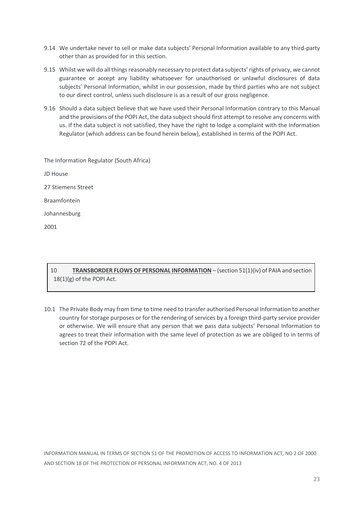- 9.14 We undertake never to sell or make data subjects' Personal Information available to any third-party other than as provided for in this section.
- 9.15 Whilst we will do all things reasonably necessary to protect data subjects' rights of privacy, we cannot guarantee or accept any liability whatsoever for unauthorised or unlawful disclosures of data subjects' Personal Information, whilst in our possession, made by third parties who are not subject to our direct control, unless such disclosure is as a result of our gross negligence.
- 9.16 Should a data subject believe that we have used their Personal Information contrary to this Manual and the provisions of the POPI Act, the data subject should first attempt to resolve any concerns with us. If the data subject is not satisfied, they have the right to lodge a complaint with the Information Regulator (which address can be found herein below), established in terms of the POPI Act.

| The Information Regulator (South Africa) |
|------------------------------------------|
| JD House                                 |
| 27 Stiemens Street                       |
| <b>Braamfontein</b>                      |
| Johannesburg                             |
| 2001                                     |

## 10 **TRANSBORDER FLOWS OF PERSONAL INFORMATION** – (section 51(1)(iv) of PAIA and section 18(1)(g) of the POPI Act.

10.1 The Private Body may from time to time need to transfer authorised Personal Information to another country for storage purposes or for the rendering of services by a foreign third-party service provider or otherwise. We will ensure that any person that we pass data subjects' Personal Information to agrees to treat their information with the same level of protection as we are obliged to in terms of section 72 of the POPI Act.

INFORMATION MANUAL IN TERMS OF SECTION 51 OF THE PROMOTION OF ACCESS TO INFORMATION ACT, NO 2 OF 2000<br>AND SECTION 18 OF THE PROTECTION OF PERSONAL INFORMATION ACT, NO. 4 OF 2013<br>23 AND SECTION 18 OF THE PROTECTION OF PERSONAL INFORMATION ACT, NO. 4 OF 2013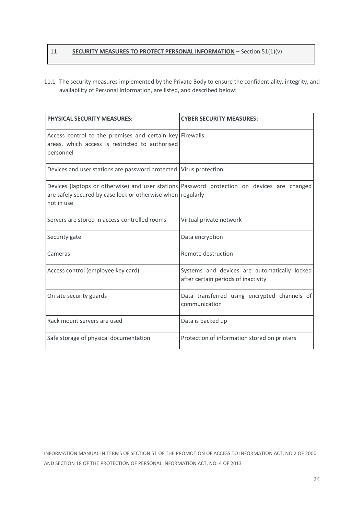## 11 **SECURITY MEASURES TO PROTECT PERSONAL INFORMATION** – Section 51(1)(v)

11.1 The security measures implemented by the Private Body to ensure the confidentiality, integrity, and availability of Personal Information, are listed, and described below:

| <b>PHYSICAL SECURITY MEASURES:</b>                                                                                       | <b>CYBER SECURITY MEASURES:</b>                                                             |  |
|--------------------------------------------------------------------------------------------------------------------------|---------------------------------------------------------------------------------------------|--|
| Access control to the premises and certain key Firewalls<br>areas, which access is restricted to authorised<br>personnel |                                                                                             |  |
| Devices and user stations are password protected   Virus protection                                                      |                                                                                             |  |
| are safely secured by case lock or otherwise when regularly<br>not in use                                                | Devices (laptops or otherwise) and user stations Password protection on devices are changed |  |
| Servers are stored in access-controlled rooms                                                                            | Virtual private network                                                                     |  |
| Security gate                                                                                                            | Data encryption                                                                             |  |
| Cameras                                                                                                                  | Remote destruction                                                                          |  |
| Access control (employee key card)                                                                                       | Systems and devices are automatically locked<br>after certain periods of inactivity         |  |
| On site security guards                                                                                                  | Data transferred using encrypted channels of<br>communication                               |  |
| Rack mount servers are used                                                                                              | Data is backed up                                                                           |  |
| Safe storage of physical documentation                                                                                   | Protection of information stored on printers                                                |  |

INFORMATION MANUAL IN TERMS OF SECTION 51 OF THE PROMOTION OF ACCESS TO INFORMATION ACT, NO 2 OF 2000<br>AND SECTION 18 OF THE PROTECTION OF PERSONAL INFORMATION ACT, NO. 4 OF 2013<br>24 AND SECTION 18 OF THE PROTECTION OF PERSONAL INFORMATION ACT, NO. 4 OF 2013